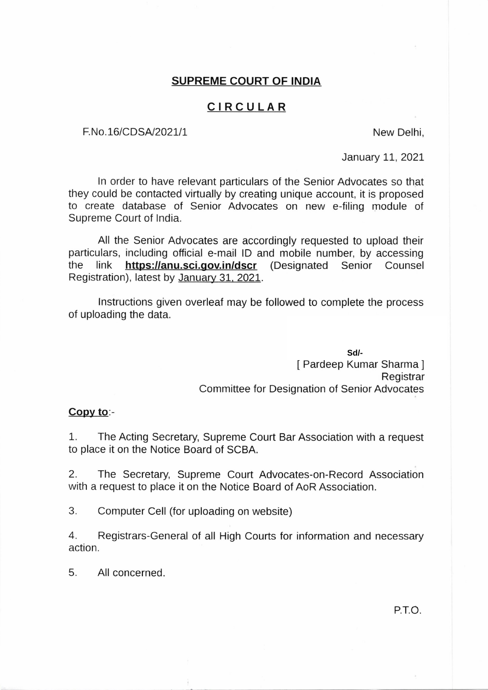## **SUPREME COURT OF INDIA**

## **CIRCULAR**

F. No. 16/CDSA/2021/1 New Delhi,

January 11, 2021

In order to have relevant particulars of the Senior Advocates so that they could be contacted virtually by creating unique account, it is proposed to create database of Senior Advocates on new e-filing module of Supreme Court of India.

All the Senior Advocates are accordingly requested to upload their particulars, including official e-mail ID and mobile number, by accessing the link **https:1/anu.sci.gov.in/dscr** (Designated Senior Counsel Registration), latest by January 31, 2021.

Instructions given overleaf may be followed to complete the process of uploading the data.

*A*<br>*A* Senior Counsel<br>*2014*<br>*SdI*-eep Kumar Sharma J<br>*Registrar* [ Pardeep Kumar Sharma] Registrar Committee for Designation of Senior Advocates **Sd/-**

#### **Copy to:-**

1. The Acting Secretary, Supreme Court Bar Association with a request to place it on the Notice Board of SCBA.

2. The Secretary, Supreme Court Advocates-on-Record Association with a request to place it on the Notice Board of AoR Association.

3. Computer Cell (for uploading on website)

4. Registrars-General of all High Courts for information and necessary action.

5. All concerned.

P.T.O.